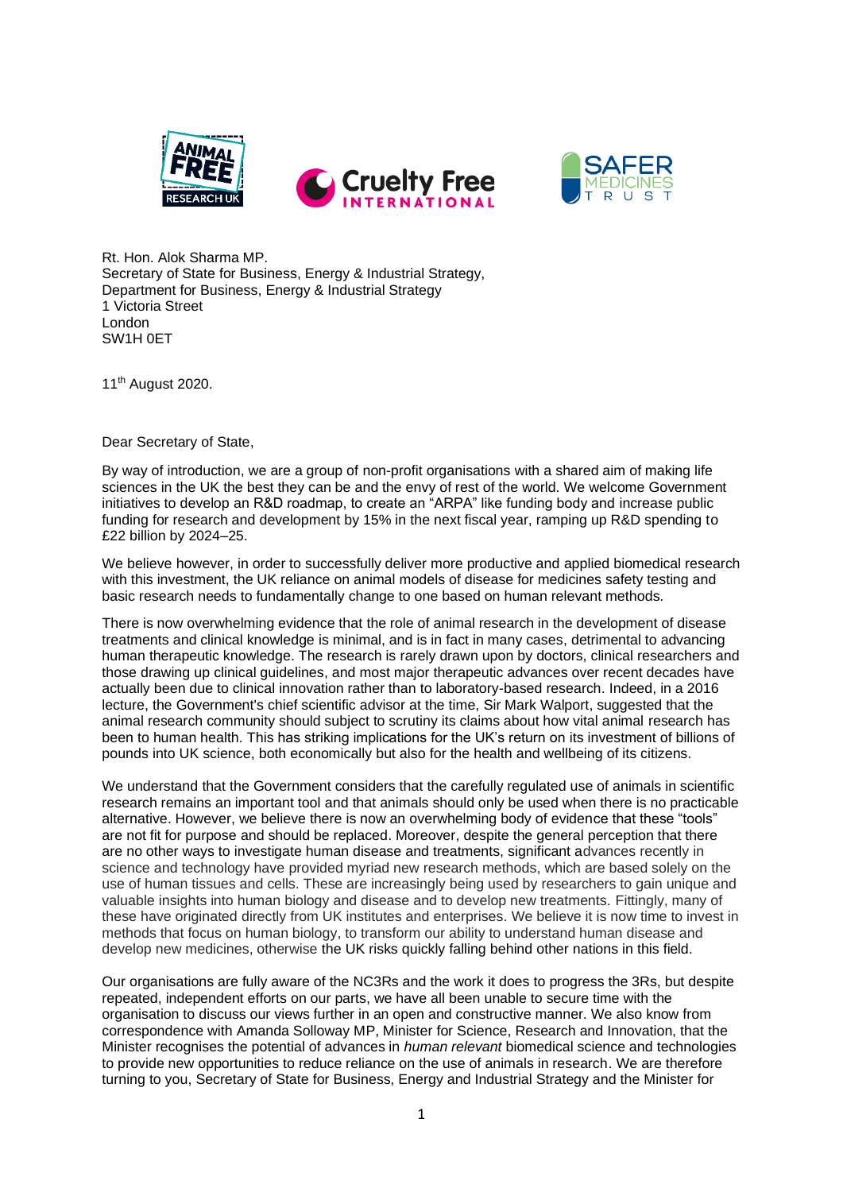



Rt. Hon. Alok Sharma MP. Secretary of State for Business, Energy & Industrial Strategy, Department for Business, Energy & Industrial Strategy 1 Victoria Street London SW1H 0ET

11th August 2020.

Dear Secretary of State,

By way of introduction, we are a group of non-profit organisations with a shared aim of making life sciences in the UK the best they can be and the envy of rest of the world. We welcome Government initiatives to develop an R&D roadmap, to create an "ARPA" like funding body and increase public funding for research and development by 15% in the next fiscal year, ramping up R&D spending to £22 billion by 2024–25.

We believe however, in order to successfully deliver more productive and applied biomedical research with this investment, the UK reliance on animal models of disease for medicines safety testing and basic research needs to fundamentally change to one based on human relevant methods.

There is now overwhelming evidence that the role of animal research in the development of disease treatments and clinical knowledge is minimal, and is in fact in many cases, detrimental to advancing human therapeutic knowledge. The research is rarely drawn upon by doctors, clinical researchers and those drawing up clinical guidelines, and most major therapeutic advances over recent decades have actually been due to clinical innovation rather than to laboratory-based research. Indeed, in a 2016 lecture, the Government's chief scientific advisor at the time, Sir Mark Walport, suggested that the animal research community should subject to scrutiny its claims about how vital animal research has been to human health. This has striking implications for the UK's return on its investment of billions of pounds into UK science, both economically but also for the health and wellbeing of its citizens.

We understand that the Government considers that the carefully regulated use of animals in scientific research remains an important tool and that animals should only be used when there is no practicable alternative. However, we believe there is now an overwhelming body of evidence that these "tools" are not fit for purpose and should be replaced. Moreover, despite the general perception that there are no other ways to investigate human disease and treatments, significant advances recently in science and technology have provided myriad new research methods, which are based solely on the use of human tissues and cells. These are increasingly being used by researchers to gain unique and valuable insights into human biology and disease and to develop new treatments. Fittingly, many of these have originated directly from UK institutes and enterprises. We believe it is now time to invest in methods that focus on human biology, to transform our ability to understand human disease and develop new medicines, otherwise the UK risks quickly falling behind other nations in this field.

Our organisations are fully aware of the NC3Rs and the work it does to progress the 3Rs, but despite repeated, independent efforts on our parts, we have all been unable to secure time with the organisation to discuss our views further in an open and constructive manner. We also know from correspondence with Amanda Solloway MP, Minister for Science, Research and Innovation, that the Minister recognises the potential of advances in *human relevant* biomedical science and technologies to provide new opportunities to reduce reliance on the use of animals in research. We are therefore turning to you, Secretary of State for Business, Energy and Industrial Strategy and the Minister for